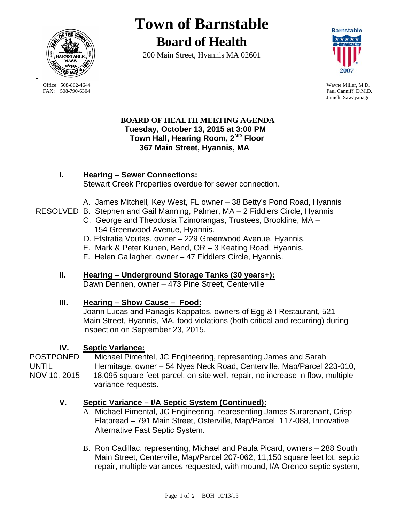

**Town of Barnstable Board of Health**

200 Main Street, Hyannis MA 02601



Paul Canniff, D.M.D. Junichi Sawayanagi

#### **BOARD OF HEALTH MEETING AGENDA Tuesday, October 13, 2015 at 3:00 PM Town Hall, Hearing Room, 2ND Floor 367 Main Street, Hyannis, MA**

#### **I. Hearing – Sewer Connections:**  Stewart Creek Properties overdue for sewer connection.

- A. James Mitchell*,* Key West, FL owner 38 Betty's Pond Road, Hyannis
- RESOLVED B. Stephen and Gail Manning, Palmer, MA 2 Fiddlers Circle, Hyannis
	- C. George and Theodosia Tzimorangas, Trustees, Brookline, MA 154 Greenwood Avenue, Hyannis.
	- D. Efstratia Voutas, owner 229 Greenwood Avenue, Hyannis.
	- E. Mark & Peter Kunen, Bend, OR 3 Keating Road, Hyannis.
	- F. Helen Gallagher, owner 47 Fiddlers Circle, Hyannis.

# **II. Hearing – Underground Storage Tanks (30 years+):**

Dawn Dennen, owner – 473 Pine Street, Centerville

## **III. Hearing – Show Cause – Food:**

Joann Lucas and Panagis Kappatos, owners of Egg & I Restaurant, 521 Main Street, Hyannis, MA, food violations (both critical and recurring) during inspection on September 23, 2015.

# **IV. Septic Variance:**

POSTPONED Michael Pimentel, JC Engineering, representing James and Sarah UNTIL Hermitage, owner – 54 Nyes Neck Road, Centerville, Map/Parcel 223-010, NOV 10, 2015 18,095 square feet parcel, on-site well, repair, no increase in flow, multiple variance requests.

# **V. Septic Variance – I/A Septic System (Continued):**

- A. Michael Pimental, JC Engineering, representing James Surprenant, Crisp Flatbread – 791 Main Street, Osterville, Map/Parcel 117-088, Innovative Alternative Fast Septic System.
- B. Ron Cadillac, representing, Michael and Paula Picard, owners 288 South Main Street, Centerville, Map/Parcel 207-062, 11,150 square feet lot, septic repair, multiple variances requested, with mound, I/A Orenco septic system,

Office: 508-862-4644 Wayne Miller, M.D.<br>
FAX: 508-790-6304 Paul Canniff. D.M.D

-